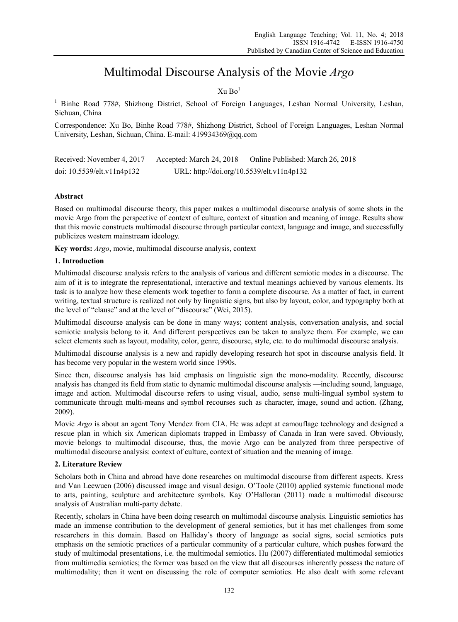# Multimodal Discourse Analysis of the Movie *Argo*

 $X_{11}$  Bo<sup>1</sup>

<sup>1</sup> Binhe Road 778#, Shizhong District, School of Foreign Languages, Leshan Normal University, Leshan, Sichuan, China

Correspondence: Xu Bo, Binhe Road 778#, Shizhong District, School of Foreign Languages, Leshan Normal University, Leshan, Sichuan, China. E-mail: 419934369@qq.com

Received: November 4, 2017 Accepted: March 24, 2018 Online Published: March 26, 2018 doi: 10.5539/elt.v11n4p132 URL: http://doi.org/10.5539/elt.v11n4p132

# **Abstract**

Based on multimodal discourse theory, this paper makes a multimodal discourse analysis of some shots in the movie Argo from the perspective of context of culture, context of situation and meaning of image. Results show that this movie constructs multimodal discourse through particular context, language and image, and successfully publicizes western mainstream ideology.

**Key words:** *Argo*, movie, multimodal discourse analysis, context

# **1. Introduction**

Multimodal discourse analysis refers to the analysis of various and different semiotic modes in a discourse. The aim of it is to integrate the representational, interactive and textual meanings achieved by various elements. Its task is to analyze how these elements work together to form a complete discourse. As a matter of fact, in current writing, textual structure is realized not only by linguistic signs, but also by layout, color, and typography both at the level of "clause" and at the level of "discourse" (Wei, 2015).

Multimodal discourse analysis can be done in many ways; content analysis, conversation analysis, and social semiotic analysis belong to it. And different perspectives can be taken to analyze them. For example, we can select elements such as layout, modality, color, genre, discourse, style, etc. to do multimodal discourse analysis.

Multimodal discourse analysis is a new and rapidly developing research hot spot in discourse analysis field. It has become very popular in the western world since 1990s.

Since then, discourse analysis has laid emphasis on linguistic sign the mono-modality. Recently, discourse analysis has changed its field from static to dynamic multimodal discourse analysis —including sound, language, image and action. Multimodal discourse refers to using visual, audio, sense multi-lingual symbol system to communicate through multi-means and symbol recourses such as character, image, sound and action. (Zhang, 2009).

Movie *Argo* is about an agent Tony Mendez from CIA. He was adept at camouflage technology and designed a rescue plan in which six American diplomats trapped in Embassy of Canada in Iran were saved. Obviously, movie belongs to multimodal discourse, thus, the movie Argo can be analyzed from three perspective of multimodal discourse analysis: context of culture, context of situation and the meaning of image.

# **2. Literature Review**

Scholars both in China and abroad have done researches on multimodal discourse from different aspects. Kress and Van Leewuen (2006) discussed image and visual design. O'Toole (2010) applied systemic functional mode to arts, painting, sculpture and architecture symbols. Kay O'Halloran (2011) made a multimodal discourse analysis of Australian multi-party debate.

Recently, scholars in China have been doing research on multimodal discourse analysis. Linguistic semiotics has made an immense contribution to the development of general semiotics, but it has met challenges from some researchers in this domain. Based on Halliday's theory of language as social signs, social semiotics puts emphasis on the semiotic practices of a particular community of a particular culture, which pushes forward the study of multimodal presentations, i.e. the multimodal semiotics. Hu (2007) differentiated multimodal semiotics from multimedia semiotics; the former was based on the view that all discourses inherently possess the nature of multimodality; then it went on discussing the role of computer semiotics. He also dealt with some relevant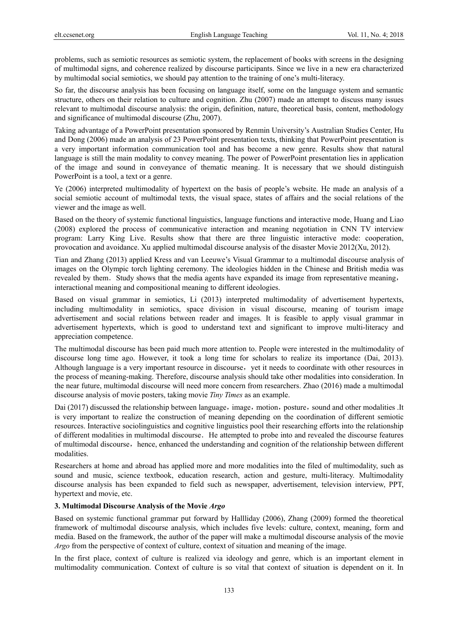problems, such as semiotic resources as semiotic system, the replacement of books with screens in the designing of multimodal signs, and coherence realized by discourse participants. Since we live in a new era characterized by multimodal social semiotics, we should pay attention to the training of one's multi-literacy.

So far, the discourse analysis has been focusing on language itself, some on the language system and semantic structure, others on their relation to culture and cognition. Zhu (2007) made an attempt to discuss many issues relevant to multimodal discourse analysis: the origin, definition, nature, theoretical basis, content, methodology and significance of multimodal discourse (Zhu, 2007).

Taking advantage of a PowerPoint presentation sponsored by Renmin University's Australian Studies Center, Hu and Dong (2006) made an analysis of 23 PowerPoint presentation texts, thinking that PowerPoint presentation is a very important information communication tool and has become a new genre. Results show that natural language is still the main modality to convey meaning. The power of PowerPoint presentation lies in application of the image and sound in conveyance of thematic meaning. It is necessary that we should distinguish PowerPoint is a tool, a text or a genre.

Ye (2006) interpreted multimodality of hypertext on the basis of people's website. He made an analysis of a social semiotic account of multimodal texts, the visual space, states of affairs and the social relations of the viewer and the image as well.

Based on the theory of systemic functional linguistics, language functions and interactive mode, Huang and Liao (2008) explored the process of communicative interaction and meaning negotiation in CNN TV interview program: Larry King Live. Results show that there are three linguistic interactive mode: cooperation, provocation and avoidance. Xu applied multimodal discourse analysis of the disaster Movie 2012(Xu, 2012).

Tian and Zhang (2013) applied Kress and van Leeuwe's Visual Grammar to a multimodal discourse analysis of images on the Olympic torch lighting ceremony. The ideologies hidden in the Chinese and British media was revealed by them. Study shows that the media agents have expanded its image from representative meaning, interactional meaning and compositional meaning to different ideologies.

Based on visual grammar in semiotics, Li (2013) interpreted multimodality of advertisement hypertexts, including multimodality in semiotics, space division in visual discourse, meaning of tourism image advertisement and social relations between reader and images. It is feasible to apply visual grammar in advertisement hypertexts, which is good to understand text and significant to improve multi-literacy and appreciation competence.

The multimodal discourse has been paid much more attention to. People were interested in the multimodality of discourse long time ago. However, it took a long time for scholars to realize its importance (Dai, 2013). Although language is a very important resource in discourse, yet it needs to coordinate with other resources in the process of meaning-making. Therefore, discourse analysis should take other modalities into consideration. In the near future, multimodal discourse will need more concern from researchers. Zhao (2016) made a multimodal discourse analysis of movie posters, taking movie *Tiny Times* as an example.

Dai (2017) discussed the relationship between language, image, motion, posture, sound and other modalities .It is very important to realize the construction of meaning depending on the coordination of different semiotic resources. Interactive sociolinguistics and cognitive linguistics pool their researching efforts into the relationship of different modalities in multimodal discourse.He attempted to probe into and revealed the discourse features of multimodal discourse, hence, enhanced the understanding and cognition of the relationship between different modalities.

Researchers at home and abroad has applied more and more modalities into the filed of multimodality, such as sound and music, science textbook, education research, action and gesture, multi-literacy. Multimodality discourse analysis has been expanded to field such as newspaper, advertisement, television interview, PPT, hypertext and movie, etc.

#### **3. Multimodal Discourse Analysis of the Movie** *Argo*

Based on systemic functional grammar put forward by Hallliday (2006), Zhang (2009) formed the theoretical framework of multimodal discourse analysis, which includes five levels: culture, context, meaning, form and media. Based on the framework, the author of the paper will make a multimodal discourse analysis of the movie *Argo* from the perspective of context of culture, context of situation and meaning of the image.

In the first place, context of culture is realized via ideology and genre, which is an important element in multimodality communication. Context of culture is so vital that context of situation is dependent on it. In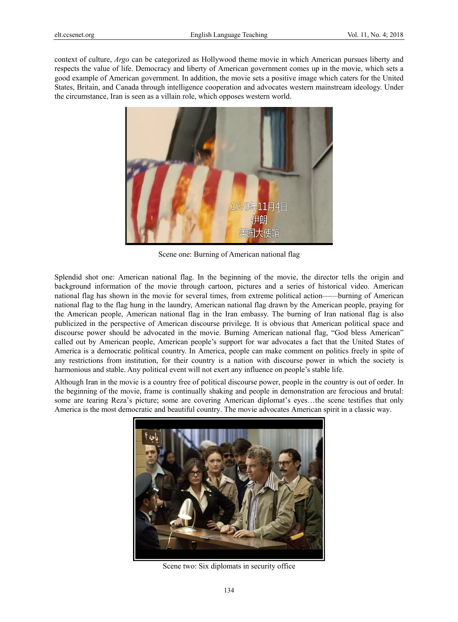context of culture, *Argo* can be categorized as Hollywood theme movie in which American pursues liberty and respects the value of life. Democracy and liberty of American government comes up in the movie, which sets a good example of American government. In addition, the movie sets a positive image which caters for the United States, Britain, and Canada through intelligence cooperation and advocates western mainstream ideology. Under the circumstance, Iran is seen as a villain role, which opposes western world.



Scene one: Burning of American national flag

Splendid shot one: American national flag. In the beginning of the movie, the director tells the origin and background information of the movie through cartoon, pictures and a series of historical video. American national flag has shown in the movie for several times, from extreme political action——burning of American national flag to the flag hung in the laundry, American national flag drawn by the American people, praying for the American people, American national flag in the Iran embassy. The burning of Iran national flag is also publicized in the perspective of American discourse privilege. It is obvious that American political space and discourse power should be advocated in the movie. Burning American national flag, "God bless American" called out by American people, American people's support for war advocates a fact that the United States of America is a democratic political country. In America, people can make comment on politics freely in spite of any restrictions from institution, for their country is a nation with discourse power in which the society is harmonious and stable. Any political event will not exert any influence on people's stable life.

Although Iran in the movie is a country free of political discourse power, people in the country is out of order. In the beginning of the movie, frame is continually shaking and people in demonstration are ferocious and brutal: some are tearing Reza's picture; some are covering American diplomat's eyes…the scene testifies that only America is the most democratic and beautiful country. The movie advocates American spirit in a classic way.



Scene two: Six diplomats in security office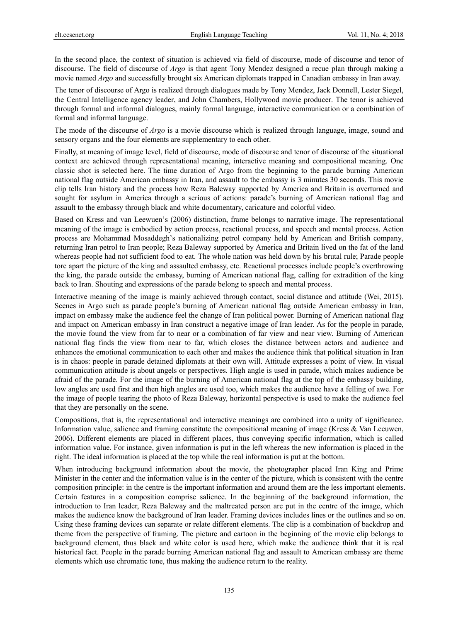In the second place, the context of situation is achieved via field of discourse, mode of discourse and tenor of discourse. The field of discourse of *Argo* is that agent Tony Mendez designed a recue plan through making a movie named *Argo* and successfully brought six American diplomats trapped in Canadian embassy in Iran away.

The tenor of discourse of Argo is realized through dialogues made by Tony Mendez, Jack Donnell, Lester Siegel, the Central Intelligence agency leader, and John Chambers, Hollywood movie producer. The tenor is achieved through formal and informal dialogues, mainly formal language, interactive communication or a combination of formal and informal language.

The mode of the discourse of *Argo* is a movie discourse which is realized through language, image, sound and sensory organs and the four elements are supplementary to each other.

Finally, at meaning of image level, field of discourse, mode of discourse and tenor of discourse of the situational context are achieved through representational meaning, interactive meaning and compositional meaning. One classic shot is selected here. The time duration of Argo from the beginning to the parade burning American national flag outside American embassy in Iran, and assault to the embassy is 3 minutes 30 seconds. This movie clip tells Iran history and the process how Reza Baleway supported by America and Britain is overturned and sought for asylum in America through a serious of actions: parade's burning of American national flag and assault to the embassy through black and white documentary, caricature and colorful video.

Based on Kress and van Leewuen's (2006) distinction, frame belongs to narrative image. The representational meaning of the image is embodied by action process, reactional process, and speech and mental process. Action process are Mohammad Mosaddegh's nationalizing petrol company held by American and British company, returning Iran petrol to Iran people; Reza Baleway supported by America and Britain lived on the fat of the land whereas people had not sufficient food to eat. The whole nation was held down by his brutal rule; Parade people tore apart the picture of the king and assaulted embassy, etc. Reactional processes include people's overthrowing the king, the parade outside the embassy, burning of American national flag, calling for extradition of the king back to Iran. Shouting and expressions of the parade belong to speech and mental process.

Interactive meaning of the image is mainly achieved through contact, social distance and attitude (Wei, 2015). Scenes in Argo such as parade people's burning of American national flag outside American embassy in Iran, impact on embassy make the audience feel the change of Iran political power. Burning of American national flag and impact on American embassy in Iran construct a negative image of Iran leader. As for the people in parade, the movie found the view from far to near or a combination of far view and near view. Burning of American national flag finds the view from near to far, which closes the distance between actors and audience and enhances the emotional communication to each other and makes the audience think that political situation in Iran is in chaos: people in parade detained diplomats at their own will. Attitude expresses a point of view. In visual communication attitude is about angels or perspectives. High angle is used in parade, which makes audience be afraid of the parade. For the image of the burning of American national flag at the top of the embassy building, low angles are used first and then high angles are used too, which makes the audience have a felling of awe. For the image of people tearing the photo of Reza Baleway, horizontal perspective is used to make the audience feel that they are personally on the scene.

Compositions, that is, the representational and interactive meanings are combined into a unity of significance. Information value, salience and framing constitute the compositional meaning of image (Kress & Van Leeuwen, 2006). Different elements are placed in different places, thus conveying specific information, which is called information value. For instance, given information is put in the left whereas the new information is placed in the right. The ideal information is placed at the top while the real information is put at the bottom.

When introducing background information about the movie, the photographer placed Iran King and Prime Minister in the center and the information value is in the center of the picture, which is consistent with the centre composition principle: in the centre is the important information and around them are the less important elements. Certain features in a composition comprise salience. In the beginning of the background information, the introduction to Iran leader, Reza Baleway and the maltreated person are put in the centre of the image, which makes the audience know the background of Iran leader. Framing devices includes lines or the outlines and so on. Using these framing devices can separate or relate different elements. The clip is a combination of backdrop and theme from the perspective of framing. The picture and cartoon in the beginning of the movie clip belongs to background element, thus black and white color is used here, which make the audience think that it is real historical fact. People in the parade burning American national flag and assault to American embassy are theme elements which use chromatic tone, thus making the audience return to the reality.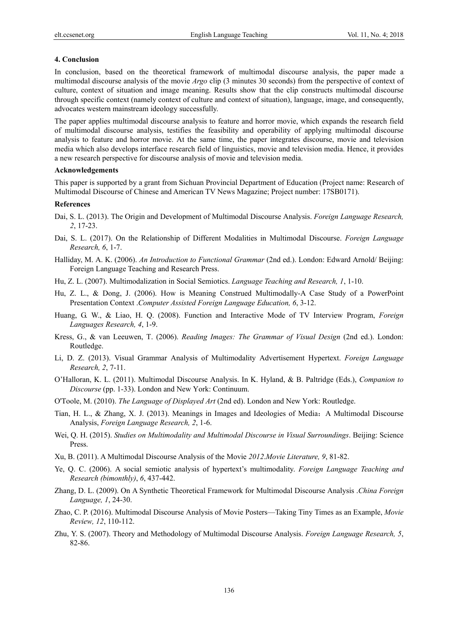#### **4. Conclusion**

In conclusion, based on the theoretical framework of multimodal discourse analysis, the paper made a multimodal discourse analysis of the movie *Argo* clip (3 minutes 30 seconds) from the perspective of context of culture, context of situation and image meaning. Results show that the clip constructs multimodal discourse through specific context (namely context of culture and context of situation), language, image, and consequently, advocates western mainstream ideology successfully.

The paper applies multimodal discourse analysis to feature and horror movie, which expands the research field of multimodal discourse analysis, testifies the feasibility and operability of applying multimodal discourse analysis to feature and horror movie. At the same time, the paper integrates discourse, movie and television media which also develops interface research field of linguistics, movie and television media. Hence, it provides a new research perspective for discourse analysis of movie and television media.

#### **Acknowledgements**

This paper is supported by a grant from Sichuan Provincial Department of Education (Project name: Research of Multimodal Discourse of Chinese and American TV News Magazine; Project number: 17SB0171).

#### **References**

- Dai, S. L. (2013). The Origin and Development of Multimodal Discourse Analysis. *Foreign Language Research, 2*, 17-23.
- Dai, S. L. (2017). On the Relationship of Different Modalities in Multimodal Discourse. *Foreign Language Research, 6*, 1-7.
- Halliday, M. A. K. (2006). *An Introduction to Functional Grammar* (2nd ed.). London: Edward Arnold/ Beijing: Foreign Language Teaching and Research Press.
- Hu, Z. L. (2007). Multimodalization in Social Semiotics. *Language Teaching and Research, 1*, 1-10.
- Hu, Z. L., & Dong, J. (2006). How is Meaning Construed Multimodally-A Case Study of a PowerPoint Presentation Context .*Computer Assisted Foreign Language Education, 6*, 3-12.
- Huang, G. W., & Liao, H. Q. (2008). Function and Interactive Mode of TV Interview Program, *Foreign Languages Research, 4*, 1-9.
- Kress, G., & van Leeuwen, T. (2006). *Reading Images: The Grammar of Visual Design* (2nd ed.). London: Routledge.
- Li, D. Z. (2013). Visual Grammar Analysis of Multimodality Advertisement Hypertext. *Foreign Language Research, 2*, 7-11.
- O'Halloran, K. L. (2011). Multimodal Discourse Analysis. In K. Hyland, & B. Paltridge (Eds.), *Companion to Discourse* (pp. 1-33). London and New York: Continuum.
- O'Toole, M. (2010). *The Language of Displayed Art* (2nd ed). London and New York: Routledge.
- Tian, H. L., & Zhang, X. J. (2013). Meanings in Images and Ideologies of Media:A Multimodal Discourse Analysis, *Foreign Language Research, 2*, 1-6.
- Wei, Q. H. (2015). *Studies on Multimodality and Multimodal Discourse in Visual Surroundings*. Beijing: Science Press.
- Xu, B. (2011). A Multimodal Discourse Analysis of the Movie *2012*.*Movie Literature, 9*, 81-82.
- Ye, Q. C. (2006). A social semiotic analysis of hypertext's multimodality. *Foreign Language Teaching and Research (bimonthly)*, *6*, 437-442.
- Zhang, D. L. (2009). On A Synthetic Theoretical Framework for Multimodal Discourse Analysis .*China Foreign Language, 1*, 24-30.
- Zhao, C. P. (2016). Multimodal Discourse Analysis of Movie Posters—Taking Tiny Times as an Example, *Movie Review, 12*, 110-112.
- Zhu, Y. S. (2007). Theory and Methodology of Multimodal Discourse Analysis. *Foreign Language Research, 5*, 82-86.